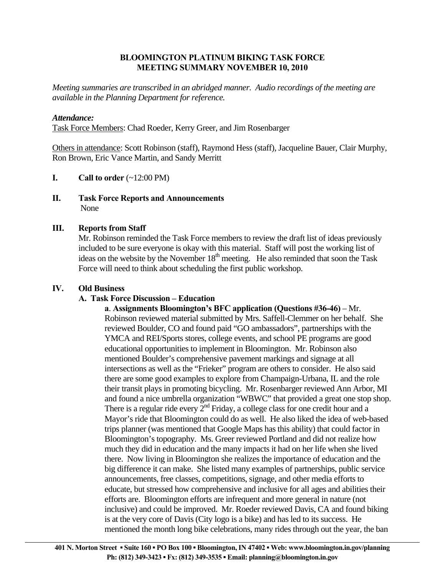## **BLOOMINGTON PLATINUM BIKING TASK FORCE MEETING SUMMARY NOVEMBER 10, 2010**

*Meeting summaries are transcribed in an abridged manner. Audio recordings of the meeting are available in the Planning Department for reference.* 

## *Attendance:*

Task Force Members: Chad Roeder, Kerry Greer, and Jim Rosenbarger

Others in attendance: Scott Robinson (staff), Raymond Hess (staff), Jacqueline Bauer, Clair Murphy, Ron Brown, Eric Vance Martin, and Sandy Merritt

- **I.** Call to order  $(\sim 12:00 \text{ PM})$
- **II. Task Force Reports and Announcements**  None

## **III. Reports from Staff**

Mr. Robinson reminded the Task Force members to review the draft list of ideas previously included to be sure everyone is okay with this material. Staff will post the working list of ideas on the website by the November  $18<sup>th</sup>$  meeting. He also reminded that soon the Task Force will need to think about scheduling the first public workshop.

#### **IV. Old Business**

#### **A. Task Force Discussion – Education**

**a**. **Assignments Bloomington's BFC application (Questions #36-46)** – Mr. Robinson reviewed material submitted by Mrs. Saffell-Clemmer on her behalf. She reviewed Boulder, CO and found paid "GO ambassadors", partnerships with the YMCA and REI/Sports stores, college events, and school PE programs are good educational opportunities to implement in Bloomington. Mr. Robinson also mentioned Boulder's comprehensive pavement markings and signage at all intersections as well as the "Frieker" program are others to consider. He also said there are some good examples to explore from Champaign-Urbana, IL and the role their transit plays in promoting bicycling. Mr. Rosenbarger reviewed Ann Arbor, MI and found a nice umbrella organization "WBWC" that provided a great one stop shop. There is a regular ride every  $2^{nd}$  Friday, a college class for one credit hour and a Mayor's ride that Bloomington could do as well. He also liked the idea of web-based trips planner (was mentioned that Google Maps has this ability) that could factor in Bloomington's topography. Ms. Greer reviewed Portland and did not realize how much they did in education and the many impacts it had on her life when she lived there. Now living in Bloomington she realizes the importance of education and the big difference it can make. She listed many examples of partnerships, public service announcements, free classes, competitions, signage, and other media efforts to educate, but stressed how comprehensive and inclusive for all ages and abilities their efforts are. Bloomington efforts are infrequent and more general in nature (not inclusive) and could be improved. Mr. Roeder reviewed Davis, CA and found biking is at the very core of Davis (City logo is a bike) and has led to its success. He mentioned the month long bike celebrations, many rides through out the year, the ban